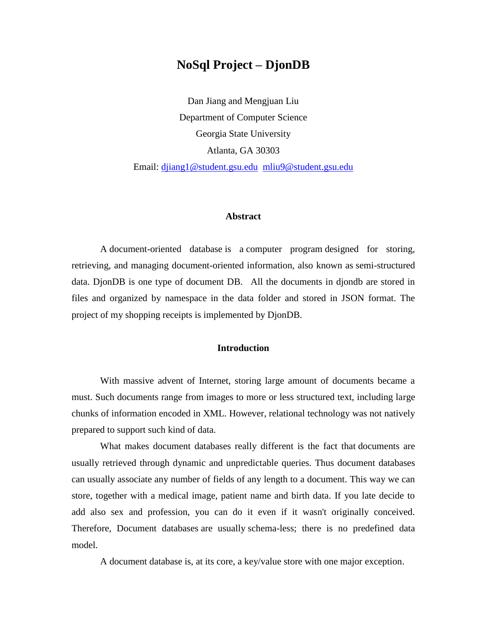# **NoSql Project – DjonDB**

Dan Jiang and Mengjuan Liu Department of Computer Science Georgia State University Atlanta, GA 30303 Email: [djiang1@student.gsu.edu](mailto:djiang1@student.gsu.edu) [mliu9@student.gsu.edu](mailto:mliu9@student.gsu.edu)

### **Abstract**

A document-oriented database is a [computer program](http://en.wikipedia.org/wiki/Computer_program) designed for storing, retrieving, and managing document-oriented information, also known as [semi-structured](http://en.wikipedia.org/wiki/Semi-structured_model)  [data.](http://en.wikipedia.org/wiki/Semi-structured_model) DjonDB is one type of document DB. All the documents in djondb are stored in files and organized by namespace in the data folder and stored in JSON format. The project of my shopping receipts is implemented by DjonDB.

## **Introduction**

With massive advent of Internet, storing large amount of documents became a must. Such documents range from images to more or less structured text, including large chunks of information encoded in XML. However, relational technology was not natively prepared to support such kind of data.

What makes document databases really different is the fact that documents are usually retrieved through dynamic and unpredictable queries. Thus document databases can usually associate any number of fields of any length to a document. This way we can store, together with a medical image, patient name and birth data. If you late decide to add also sex and profession, you can do it even if it wasn't originally conceived. Therefore, Document databases are usually schema-less; there is no predefined data model.

A document database is, at its core, a key/value store with one major exception.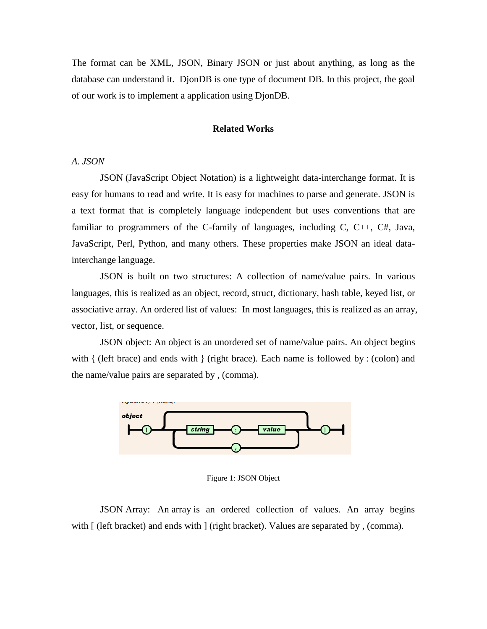The format can be XML, JSON, Binary JSON or just about anything, as long as the database can understand it. DjonDB is one type of document DB. In this project, the goal of our work is to implement a application using DjonDB.

#### **Related Works**

### *A. JSON*

JSON (JavaScript Object Notation) is a lightweight data-interchange format. It is easy for humans to read and write. It is easy for machines to parse and generate. JSON is a text format that is completely language independent but uses conventions that are familiar to programmers of the C-family of languages, including C, C++, C#, Java, JavaScript, Perl, Python, and many others. These properties make JSON an ideal datainterchange language.

JSON is built on two structures: A collection of name/value pairs. In various languages, this is realized as an object, record, struct, dictionary, hash table, keyed list, or associative array. An ordered list of values: In most languages, this is realized as an array, vector, list, or sequence.

JSON object: An object is an unordered set of name/value pairs. An object begins with  $\{$  (left brace) and ends with  $\}$  (right brace). Each name is followed by : (colon) and the name/value pairs are separated by , (comma).



Figure 1: JSON Object

JSON Array: An array is an ordered collection of values. An array begins with  $\int$  (left bracket) and ends with  $\int$  (right bracket). Values are separated by, (comma).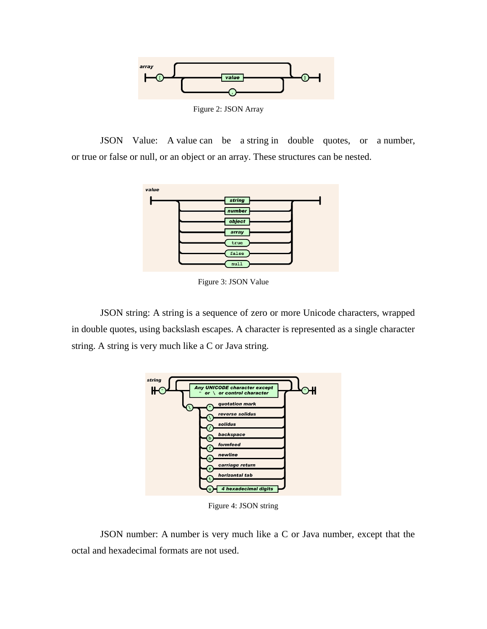

Figure 2: JSON Array

JSON Value: A value can be a string in double quotes, or a number, or true or false or null, or an object or an array. These structures can be nested.



Figure 3: JSON Value

JSON string: A string is a sequence of zero or more Unicode characters, wrapped in double quotes, using backslash escapes. A character is represented as a single character string. A string is very much like a C or Java string.



Figure 4: JSON string

JSON number: A number is very much like a C or Java number, except that the octal and hexadecimal formats are not used.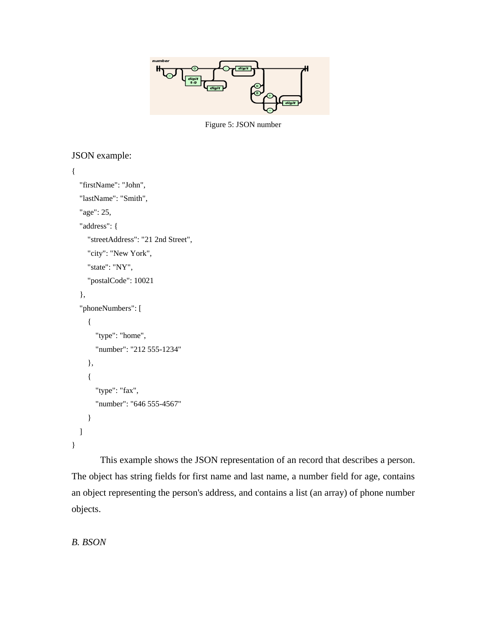

Figure 5: JSON number

## JSON example:

```
{
   "firstName": "John",
   "lastName": "Smith",
   "age": 25,
   "address": {
      "streetAddress": "21 2nd Street",
      "city": "New York",
      "state": "NY",
      "postalCode": 10021
   },
   "phoneNumbers": [
      {
        "type": "home",
        "number": "212 555-1234"
      },
      {
        "type": "fax",
        "number": "646 555-4567"
      }
   ]
}
```
This example shows the JSON representation of an record that describes a person. The object has string fields for first name and last name, a number field for age, contains an object representing the person's address, and contains a list (an array) of phone number objects.

## *B. BSON*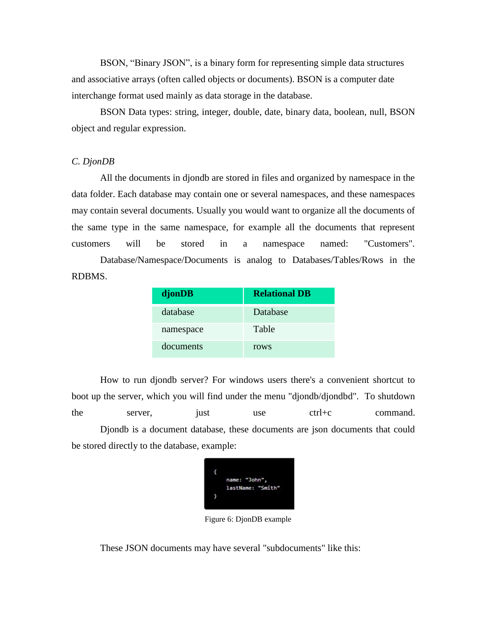BSON, "Binary JSON", is a binary form for representing simple data structures and associative arrays (often called objects or documents). BSON is a computer date interchange format used mainly as data storage in the database.

BSON Data types: string, integer, double, date, binary data, boolean, null, BSON object and regular expression.

## *C. DjonDB*

All the documents in djondb are stored in files and organized by namespace in the data folder. Each database may contain one or several namespaces, and these namespaces may contain several documents. Usually you would want to organize all the documents of the same type in the same namespace, for example all the documents that represent customers will be stored in a namespace named: "Customers".

Database/Namespace/Documents is analog to Databases/Tables/Rows in the RDBMS.

| djonDB    | <b>Relational DB</b> |
|-----------|----------------------|
| database  | Database             |
| namespace | Table                |
| documents | rows                 |

How to run djondb server? For windows users there's a convenient shortcut to boot up the server, which you will find under the menu "djondb/djondbd". To shutdown the server, just use ctrl+c command. Djondb is a document database, these documents are json documents that could be stored directly to the database, example:

| ł |                   |
|---|-------------------|
|   | name: "John",     |
|   | lastName: "Smith" |
|   |                   |
|   |                   |

Figure 6: DjonDB example

These JSON documents may have several "subdocuments" like this: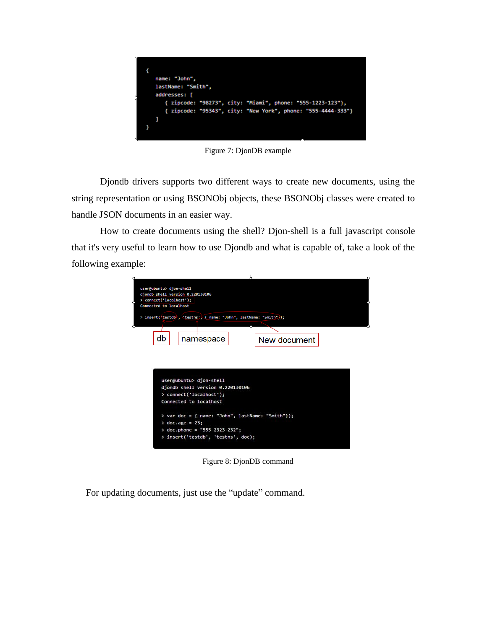

Figure 7: DjonDB example

Djondb drivers supports two different ways to create new documents, using the string representation or using BSONObj objects, these BSONObj classes were created to handle JSON documents in an easier way.

How to create documents using the shell? Djon-shell is a full javascript console that it's very useful to learn how to use Djondb and what is capable of, take a look of the following example:



Figure 8: DjonDB command

For updating documents, just use the "update" command.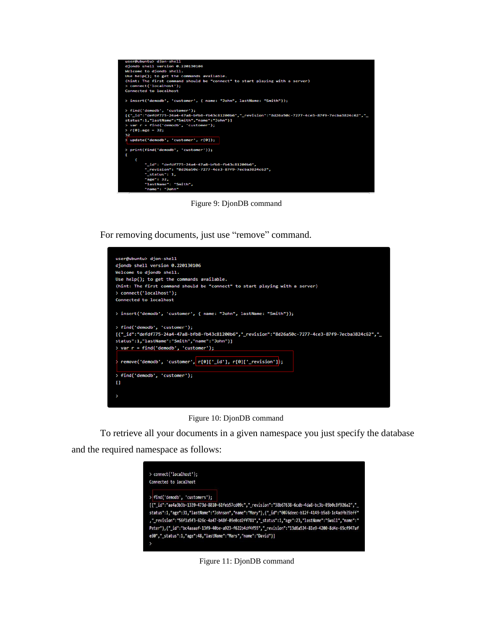

Figure 9: DjonDB command

For removing documents, just use "remove" command.



Figure 10: DjonDB command

To retrieve all your documents in a given namespace you just specify the database

and the required namespace as follows:



Figure 11: DjonDB command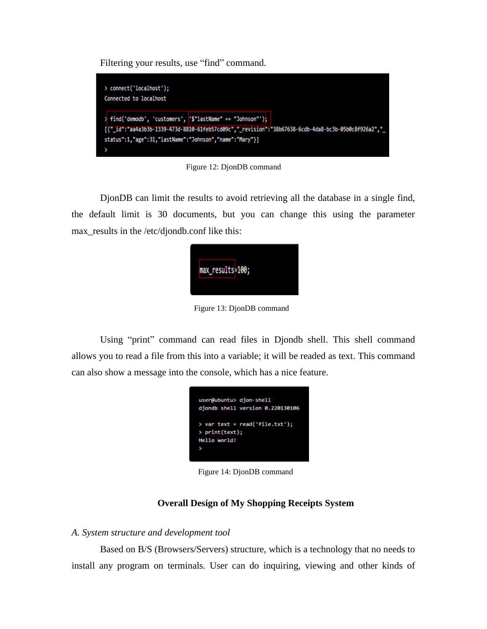Filtering your results, use "find" command.



Figure 12: DjonDB command

DjonDB can limit the results to avoid retrieving all the database in a single find, the default limit is 30 documents, but you can change this using the parameter max\_results in the /etc/djondb.conf like this:



Figure 13: DjonDB command

Using "print" command can read files in Djondb shell. This shell command allows you to read a file from this into a variable; it will be readed as text. This command can also show a message into the console, which has a nice feature.



Figure 14: DjonDB command

## **Overall Design of My Shopping Receipts System**

## *A. System structure and development tool*

Based on B/S (Browsers/Servers) structure, which is a technology that no needs to install any program on terminals. User can do inquiring, viewing and other kinds of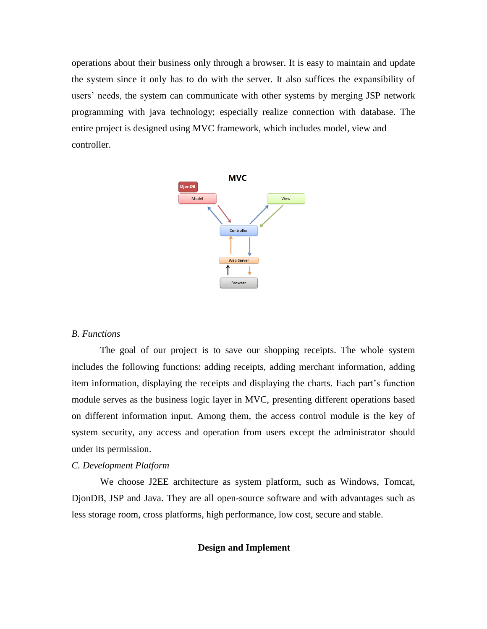operations about their business only through a browser. It is easy to maintain and update the system since it only has to do with the server. It also suffices the expansibility of users' needs, the system can communicate with other systems by merging JSP network programming with java technology; especially realize connection with database. The entire project is designed using MVC framework, which includes model, view and controller.



#### *B. Functions*

The goal of our project is to save our shopping receipts. The whole system includes the following functions: adding receipts, adding merchant information, adding item information, displaying the receipts and displaying the charts. Each part's function module serves as the business logic layer in MVC, presenting different operations based on different information input. Among them, the access control module is the key of system security, any access and operation from users except the administrator should under its permission.

#### *C. Development Platform*

We choose J2EE architecture as system platform, such as Windows, Tomcat, DjonDB, JSP and Java. They are all open-source software and with advantages such as less storage room, cross platforms, high performance, low cost, secure and stable.

## **Design and Implement**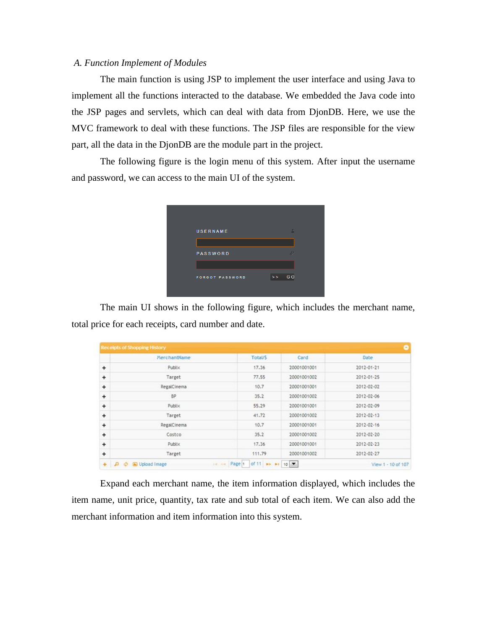## *A. Function Implement of Modules*

The main function is using JSP to implement the user interface and using Java to implement all the functions interacted to the database. We embedded the Java code into the JSP pages and servlets, which can deal with data from DjonDB. Here, we use the MVC framework to deal with these functions. The JSP files are responsible for the view part, all the data in the DjonDB are the module part in the project.

The following figure is the login menu of this system. After input the username and password, we can access to the main UI of the system.

| USERNAME               | A             |
|------------------------|---------------|
| <b>PASSWORD</b>        | $\mathcal{P}$ |
|                        |               |
| <b>FORGOT PASSWORD</b> | GO<br>>       |

The main UI shows in the following figure, which includes the merchant name, total price for each receipts, card number and date.

|           | MerchantName | Total/\$ | Card        | Date       |
|-----------|--------------|----------|-------------|------------|
| +         | Publix       | 17.36    | 20001001001 | 2012-01-21 |
| $\ddot{}$ | Target       | 77.55    | 20001001002 | 2012-01-25 |
| +         | RegalCinema  | 10.7     | 20001001001 | 2012-02-02 |
| $\ddot{}$ | <b>BP</b>    | 35.2     | 20001001002 | 2012-02-06 |
| $\ddot{}$ | Publix       | 55.29    | 20001001001 | 2012-02-09 |
| $\ddot{}$ | Target       | 41.72    | 20001001002 | 2012-02-13 |
| $\ddot{}$ | RegalCinema  | 10.7     | 20001001001 | 2012-02-16 |
| $\ddot{}$ | Costco       | 35.2     | 20001001002 | 2012-02-20 |
| $\ddot{}$ | Publix       | 17.36    | 20001001001 | 2012-02-23 |
| ÷         | Target       | 111.79   | 20001001002 | 2012-02-27 |

Expand each merchant name, the item information displayed, which includes the item name, unit price, quantity, tax rate and sub total of each item. We can also add the merchant information and item information into this system.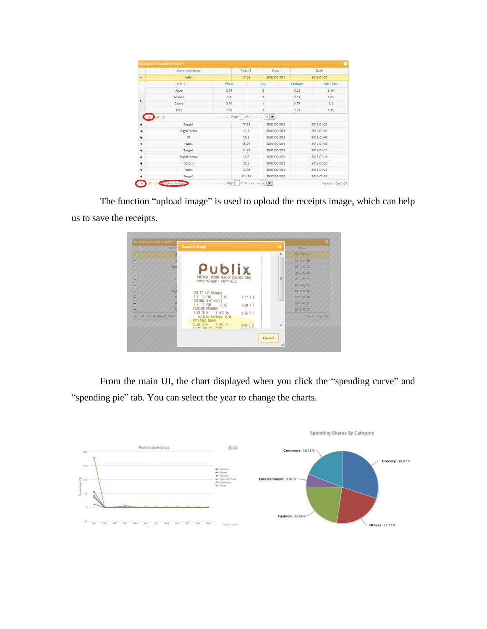|                          | MerchantName      |             | <b>Total/S</b><br>Card |                     | Date             |            |  |
|--------------------------|-------------------|-------------|------------------------|---------------------|------------------|------------|--|
| $\overline{\phantom{a}}$ | Publix            |             | 17.36                  | 20001001001         | 2012-01-21       |            |  |
|                          | Item <sup>+</sup> | Price       |                        | Oty                 | TaxRate          | Sub Total  |  |
|                          | Apple             | 2.99        |                        | $\overline{c}$      | 0.03             | 6, 16      |  |
|                          | Banana            | 0.6         |                        | 3                   | 0.03             | 1.85       |  |
|                          | Celery.           | 2.99        |                        | 5                   | 0.07             | 3.2        |  |
|                          | Rice              | 1.99        |                        | 3                   | 0.03             | 6.15       |  |
|                          | (5)               | Ga.<br>$-1$ | Page 1 of 1            | $10 - 10$<br>$\sim$ |                  |            |  |
| +                        | Target            |             | 77.55                  | 20001001002         |                  | 2012-01-25 |  |
| +                        | RegalCinema       |             | 10.7                   | 20001001001         |                  | 2012-02-02 |  |
| $\ddot{}$                | BP                |             | 35.2                   | 20001001002         |                  | 2012-02-06 |  |
| ÷                        | Publix            |             | 55.29                  | 20001001001         |                  | 2012-02-09 |  |
| $\ddot{}$                | Target            |             | 41.72                  | 20001001002         | $2012 - 02 - 13$ |            |  |
| $\ddot{}$                | RegalCinema       |             | 10.7                   | 20001001001         | $2012 - 02 - 16$ |            |  |
| ÷                        | Costco            |             | 35.2                   | 20001001002         | 2012-02-20       |            |  |
| ۰                        | Publix            |             | 17.36                  | 20001001001         |                  | 2012-02-23 |  |
| $\ddot{}$                | Target            |             | 111.79                 | 20001001002         |                  | 2012-02-27 |  |

The function "upload image" is used to upload the receipts image, which can help us to save the receipts.



From the main UI, the chart displayed when you click the "spending curve" and "spending pie" tab. You can select the year to change the charts.

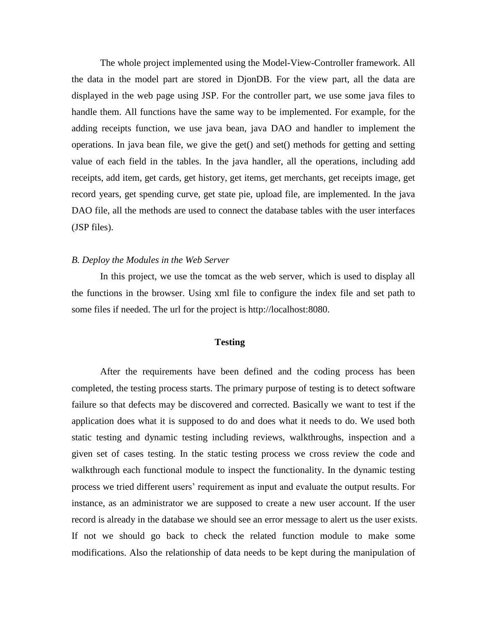The whole project implemented using the Model-View-Controller framework. All the data in the model part are stored in DjonDB. For the view part, all the data are displayed in the web page using JSP. For the controller part, we use some java files to handle them. All functions have the same way to be implemented. For example, for the adding receipts function, we use java bean, java DAO and handler to implement the operations. In java bean file, we give the get() and set() methods for getting and setting value of each field in the tables. In the java handler, all the operations, including add receipts, add item, get cards, get history, get items, get merchants, get receipts image, get record years, get spending curve, get state pie, upload file, are implemented. In the java DAO file, all the methods are used to connect the database tables with the user interfaces (JSP files).

## *B. Deploy the Modules in the Web Server*

In this project, we use the tomcat as the web server, which is used to display all the functions in the browser. Using xml file to configure the index file and set path to some files if needed. The url for the project is http://localhost:8080.

## **Testing**

After the requirements have been defined and the coding process has been completed, the testing process starts. The primary purpose of testing is to detect software failure so that defects may be discovered and corrected. Basically we want to test if the application does what it is supposed to do and does what it needs to do. We used both static testing and dynamic testing including reviews, walkthroughs, inspection and a given set of cases testing. In the static testing process we cross review the code and walkthrough each functional module to inspect the functionality. In the dynamic testing process we tried different users' requirement as input and evaluate the output results. For instance, as an administrator we are supposed to create a new user account. If the user record is already in the database we should see an error message to alert us the user exists. If not we should go back to check the related function module to make some modifications. Also the relationship of data needs to be kept during the manipulation of